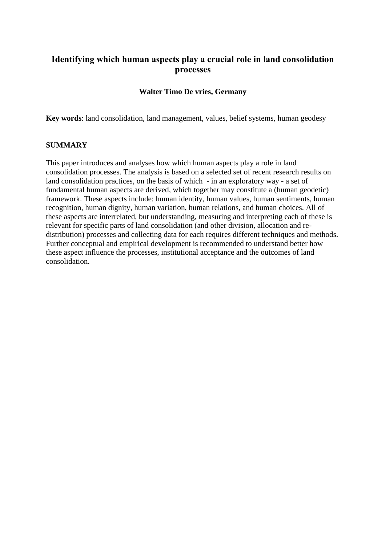# **Identifying which human aspects play a crucial role in land consolidation processes**

### **Walter Timo De vries, Germany**

**Key words**: land consolidation, land management, values, belief systems, human geodesy

#### **SUMMARY**

This paper introduces and analyses how which human aspects play a role in land consolidation processes. The analysis is based on a selected set of recent research results on land consolidation practices, on the basis of which - in an exploratory way - a set of fundamental human aspects are derived, which together may constitute a (human geodetic) framework. These aspects include: human identity, human values, human sentiments, human recognition, human dignity, human variation, human relations, and human choices. All of these aspects are interrelated, but understanding, measuring and interpreting each of these is relevant for specific parts of land consolidation (and other division, allocation and redistribution) processes and collecting data for each requires different techniques and methods. Further conceptual and empirical development is recommended to understand better how these aspect influence the processes, institutional acceptance and the outcomes of land consolidation.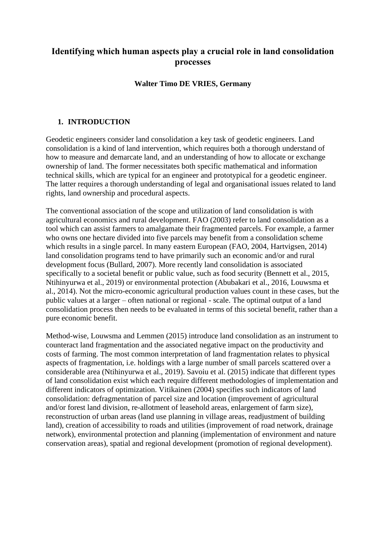# **Identifying which human aspects play a crucial role in land consolidation processes**

# **Walter Timo DE VRIES, Germany**

# **1. INTRODUCTION**

Geodetic engineers consider land consolidation a key task of geodetic engineers. Land consolidation is a kind of land intervention, which requires both a thorough understand of how to measure and demarcate land, and an understanding of how to allocate or exchange ownership of land. The former necessitates both specific mathematical and information technical skills, which are typical for an engineer and prototypical for a geodetic engineer. The latter requires a thorough understanding of legal and organisational issues related to land rights, land ownership and procedural aspects.

The conventional association of the scope and utilization of land consolidation is with agricultural economics and rural development. FAO (2003) refer to land consolidation as a tool which can assist farmers to amalgamate their fragmented parcels. For example, a farmer who owns one hectare divided into five parcels may benefit from a consolidation scheme which results in a single parcel. In many eastern European (FAO, 2004, Hartvigsen, 2014) land consolidation programs tend to have primarily such an economic and/or and rural development focus (Bullard, 2007). More recently land consolidation is associated specifically to a societal benefit or public value, such as food security (Bennett et al., 2015, Ntihinyurwa et al., 2019) or environmental protection (Abubakari et al., 2016, Louwsma et al., 2014). Not the micro-economic agricultural production values count in these cases, but the public values at a larger – often national or regional - scale. The optimal output of a land consolidation process then needs to be evaluated in terms of this societal benefit, rather than a pure economic benefit.

Method-wise, Louwsma and Lemmen (2015) introduce land consolidation as an instrument to counteract land fragmentation and the associated negative impact on the productivity and costs of farming. The most common interpretation of land fragmentation relates to physical aspects of fragmentation, i.e. holdings with a large number of small parcels scattered over a considerable area (Ntihinyurwa et al., 2019). Savoiu et al. (2015) indicate that different types of land consolidation exist which each require different methodologies of implementation and different indicators of optimization. Vitikainen (2004) specifies such indicators of land consolidation: defragmentation of parcel size and location (improvement of agricultural and/or forest land division, re-allotment of leasehold areas, enlargement of farm size), reconstruction of urban areas (land use planning in village areas, readjustment of building land), creation of accessibility to roads and utilities (improvement of road network, drainage network), environmental protection and planning (implementation of environment and nature conservation areas), spatial and regional development (promotion of regional development).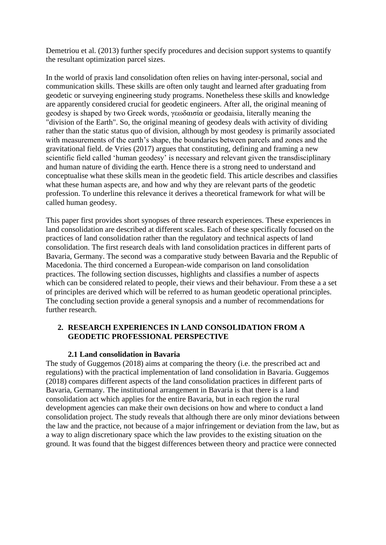Demetriou et al. (2013) further specify procedures and decision support systems to quantify the resultant optimization parcel sizes.

In the world of praxis land consolidation often relies on having inter-personal, social and communication skills. These skills are often only taught and learned after graduating from geodetic or surveying engineering study programs. Nonetheless these skills and knowledge are apparently considered crucial for geodetic engineers. After all, the original meaning of geodesy is shaped by two Greek words, γεωδαισία or geodaisia, literally meaning the "division of the Earth". So, the original meaning of geodesy deals with activity of dividing rather than the static status quo of division, although by most geodesy is primarily associated with measurements of the earth's shape, the boundaries between parcels and zones and the gravitational field. de Vries (2017) argues that constituting, defining and framing a new scientific field called 'human geodesy' is necessary and relevant given the transdisciplinary and human nature of dividing the earth. Hence there is a strong need to understand and conceptualise what these skills mean in the geodetic field. This article describes and classifies what these human aspects are, and how and why they are relevant parts of the geodetic profession. To underline this relevance it derives a theoretical framework for what will be called human geodesy.

This paper first provides short synopses of three research experiences. These experiences in land consolidation are described at different scales. Each of these specifically focused on the practices of land consolidation rather than the regulatory and technical aspects of land consolidation. The first research deals with land consolidation practices in different parts of Bavaria, Germany. The second was a comparative study between Bavaria and the Republic of Macedonia. The third concerned a European-wide comparison on land consolidation practices. The following section discusses, highlights and classifies a number of aspects which can be considered related to people, their views and their behaviour. From these a a set of principles are derived which will be referred to as human geodetic operational principles. The concluding section provide a general synopsis and a number of recommendations for further research.

# **2. RESEARCH EXPERIENCES IN LAND CONSOLIDATION FROM A GEODETIC PROFESSIONAL PERSPECTIVE**

# **2.1 Land consolidation in Bavaria**

The study of Guggemos (2018) aims at comparing the theory (i.e. the prescribed act and regulations) with the practical implementation of land consolidation in Bavaria. Guggemos (2018) compares different aspects of the land consolidation practices in different parts of Bavaria, Germany. The institutional arrangement in Bavaria is that there is a land consolidation act which applies for the entire Bavaria, but in each region the rural development agencies can make their own decisions on how and where to conduct a land consolidation project. The study reveals that although there are only minor deviations between the law and the practice, not because of a major infringement or deviation from the law, but as a way to align discretionary space which the law provides to the existing situation on the ground. It was found that the biggest differences between theory and practice were connected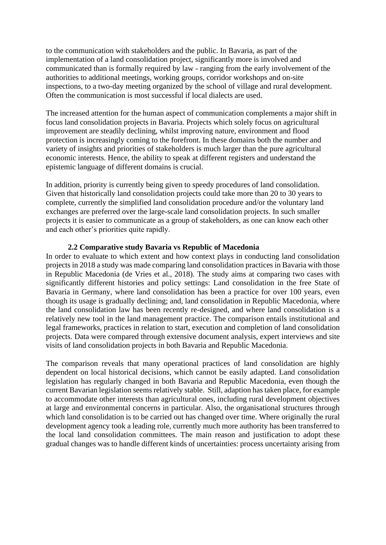to the communication with stakeholders and the public. In Bavaria, as part of the implementation of a land consolidation project, significantly more is involved and communicated than is formally required by law - ranging from the early involvement of the authorities to additional meetings, working groups, corridor workshops and on-site inspections, to a two-day meeting organized by the school of village and rural development. Often the communication is most successful if local dialects are used.

The increased attention for the human aspect of communication complements a major shift in focus land consolidation projects in Bavaria. Projects which solely focus on agricultural improvement are steadily declining, whilst improving nature, environment and flood protection is increasingly coming to the forefront. In these domains both the number and variety of insights and priorities of stakeholders is much larger than the pure agricultural economic interests. Hence, the ability to speak at different registers and understand the epistemic language of different domains is crucial.

In addition, priority is currently being given to speedy procedures of land consolidation. Given that historically land consolidation projects could take more than 20 to 30 years to complete, currently the simplified land consolidation procedure and/or the voluntary land exchanges are preferred over the large-scale land consolidation projects. In such smaller projects it is easier to communicate as a group of stakeholders, as one can know each other and each other's priorities quite rapidly.

#### **2.2 Comparative study Bavaria vs Republic of Macedonia**

In order to evaluate to which extent and how context plays in conducting land consolidation projects in 2018 a study was made comparing land consolidation practices in Bavaria with those in Republic Macedonia (de Vries et al., 2018). The study aims at comparing two cases with significantly different histories and policy settings: Land consolidation in the free State of Bavaria in Germany, where land consolidation has been a practice for over 100 years, even though its usage is gradually declining; and, land consolidation in Republic Macedonia, where the land consolidation law has been recently re-designed, and where land consolidation is a relatively new tool in the land management practice. The comparison entails institutional and legal frameworks, practices in relation to start, execution and completion of land consolidation projects. Data were compared through extensive document analysis, expert interviews and site visits of land consolidation projects in both Bavaria and Republic Macedonia.

The comparison reveals that many operational practices of land consolidation are highly dependent on local historical decisions, which cannot be easily adapted. Land consolidation legislation has regularly changed in both Bavaria and Republic Macedonia, even though the current Bavarian legislation seems relatively stable. Still, adaption has taken place, for example to accommodate other interests than agricultural ones, including rural development objectives at large and environmental concerns in particular. Also, the organisational structures through which land consolidation is to be carried out has changed over time. Where originally the rural development agency took a leading role, currently much more authority has been transferred to the local land consolidation committees. The main reason and justification to adopt these gradual changes was to handle different kinds of uncertainties: process uncertainty arising from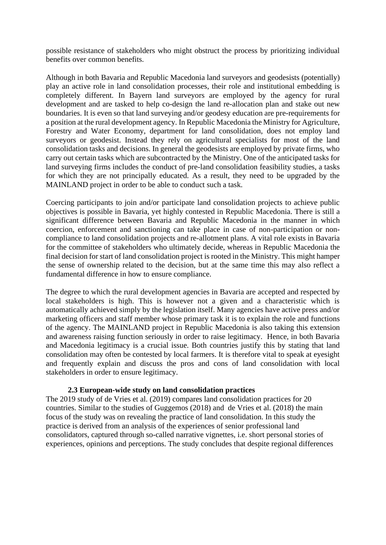possible resistance of stakeholders who might obstruct the process by prioritizing individual benefits over common benefits.

Although in both Bavaria and Republic Macedonia land surveyors and geodesists (potentially) play an active role in land consolidation processes, their role and institutional embedding is completely different. In Bayern land surveyors are employed by the agency for rural development and are tasked to help co-design the land re-allocation plan and stake out new boundaries. It is even so that land surveying and/or geodesy education are pre-requirements for a position at the rural development agency. In Republic Macedonia the Ministry for Agriculture, Forestry and Water Economy, department for land consolidation, does not employ land surveyors or geodesist. Instead they rely on agricultural specialists for most of the land consolidation tasks and decisions. In general the geodesists are employed by private firms, who carry out certain tasks which are subcontracted by the Ministry. One of the anticipated tasks for land surveying firms includes the conduct of pre-land consolidation feasibility studies, a tasks for which they are not principally educated. As a result, they need to be upgraded by the MAINLAND project in order to be able to conduct such a task.

Coercing participants to join and/or participate land consolidation projects to achieve public objectives is possible in Bavaria, yet highly contested in Republic Macedonia. There is still a significant difference between Bavaria and Republic Macedonia in the manner in which coercion, enforcement and sanctioning can take place in case of non-participation or noncompliance to land consolidation projects and re-allotment plans. A vital role exists in Bavaria for the committee of stakeholders who ultimately decide, whereas in Republic Macedonia the final decision for start of land consolidation project is rooted in the Ministry. This might hamper the sense of ownership related to the decision, but at the same time this may also reflect a fundamental difference in how to ensure compliance.

The degree to which the rural development agencies in Bavaria are accepted and respected by local stakeholders is high. This is however not a given and a characteristic which is automatically achieved simply by the legislation itself. Many agencies have active press and/or marketing officers and staff member whose primary task it is to explain the role and functions of the agency. The MAINLAND project in Republic Macedonia is also taking this extension and awareness raising function seriously in order to raise legitimacy. Hence, in both Bavaria and Macedonia legitimacy is a crucial issue. Both countries justify this by stating that land consolidation may often be contested by local farmers. It is therefore vital to speak at eyesight and frequently explain and discuss the pros and cons of land consolidation with local stakeholders in order to ensure legitimacy.

# **2.3 European-wide study on land consolidation practices**

The 2019 study of de Vries et al. (2019) compares land consolidation practices for 20 countries. Similar to the studies of Guggemos (2018) and de Vries et al. (2018) the main focus of the study was on revealing the practice of land consolidation. In this study the practice is derived from an analysis of the experiences of senior professional land consolidators, captured through so-called narrative vignettes, i.e. short personal stories of experiences, opinions and perceptions. The study concludes that despite regional differences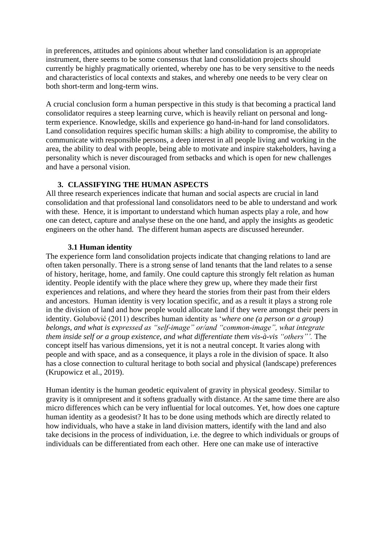in preferences, attitudes and opinions about whether land consolidation is an appropriate instrument, there seems to be some consensus that land consolidation projects should currently be highly pragmatically oriented, whereby one has to be very sensitive to the needs and characteristics of local contexts and stakes, and whereby one needs to be very clear on both short-term and long-term wins.

A crucial conclusion form a human perspective in this study is that becoming a practical land consolidator requires a steep learning curve, which is heavily reliant on personal and longterm experience. Knowledge, skills and experience go hand-in-hand for land consolidators. Land consolidation requires specific human skills: a high ability to compromise, the ability to communicate with responsible persons, a deep interest in all people living and working in the area, the ability to deal with people, being able to motivate and inspire stakeholders, having a personality which is never discouraged from setbacks and which is open for new challenges and have a personal vision.

# **3. CLASSIFYING THE HUMAN ASPECTS**

All three research experiences indicate that human and social aspects are crucial in land consolidation and that professional land consolidators need to be able to understand and work with these. Hence, it is important to understand which human aspects play a role, and how one can detect, capture and analyse these on the one hand, and apply the insights as geodetic engineers on the other hand. The different human aspects are discussed hereunder.

# **3.1 Human identity**

The experience form land consolidation projects indicate that changing relations to land are often taken personally. There is a strong sense of land tenants that the land relates to a sense of history, heritage, home, and family. One could capture this strongly felt relation as human identity. People identify with the place where they grew up, where they made their first experiences and relations, and where they heard the stories from their past from their elders and ancestors. Human identity is very location specific, and as a result it plays a strong role in the division of land and how people would allocate land if they were amongst their peers in identity. Golubović (2011) describes human identity as '*where one (a person or a group) belongs, and what is expressed as "self-image" or/and "common-image", what integrate them inside self or a group existence, and what differentiate them vis-à-vis "others"'.* The concept itself has various dimensions, yet it is not a neutral concept. It varies along with people and with space, and as a consequence, it plays a role in the division of space. It also has a close connection to cultural heritage to both social and physical (landscape) preferences (Krupowicz et al., 2019).

Human identity is the human geodetic equivalent of gravity in physical geodesy. Similar to gravity is it omnipresent and it softens gradually with distance. At the same time there are also micro differences which can be very influential for local outcomes. Yet, how does one capture human identity as a geodesist? It has to be done using methods which are directly related to how individuals, who have a stake in land division matters, identify with the land and also take decisions in the process of individuation, i.e. the degree to which individuals or groups of individuals can be differentiated from each other. Here one can make use of interactive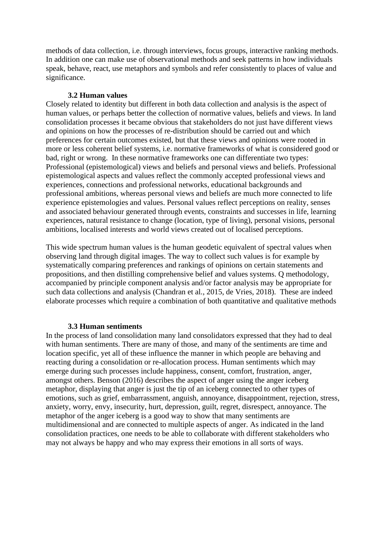methods of data collection, i.e. through interviews, focus groups, interactive ranking methods. In addition one can make use of observational methods and seek patterns in how individuals speak, behave, react, use metaphors and symbols and refer consistently to places of value and significance.

#### **3.2 Human values**

Closely related to identity but different in both data collection and analysis is the aspect of human values, or perhaps better the collection of normative values, beliefs and views. In land consolidation processes it became obvious that stakeholders do not just have different views and opinions on how the processes of re-distribution should be carried out and which preferences for certain outcomes existed, but that these views and opinions were rooted in more or less coherent belief systems, i.e. normative frameworks of what is considered good or bad, right or wrong. In these normative frameworks one can differentiate two types: Professional (epistemological) views and beliefs and personal views and beliefs. Professional epistemological aspects and values reflect the commonly accepted professional views and experiences, connections and professional networks, educational backgrounds and professional ambitions, whereas personal views and beliefs are much more connected to life experience epistemologies and values. Personal values reflect perceptions on reality, senses and associated behaviour generated through events, constraints and successes in life, learning experiences, natural resistance to change (location, type of living), personal visions, personal ambitions, localised interests and world views created out of localised perceptions.

This wide spectrum human values is the human geodetic equivalent of spectral values when observing land through digital images. The way to collect such values is for example by systematically comparing preferences and rankings of opinions on certain statements and propositions, and then distilling comprehensive belief and values systems. Q methodology, accompanied by principle component analysis and/or factor analysis may be appropriate for such data collections and analysis (Chandran et al., 2015, de Vries, 2018). These are indeed elaborate processes which require a combination of both quantitative and qualitative methods

# **3.3 Human sentiments**

In the process of land consolidation many land consolidators expressed that they had to deal with human sentiments. There are many of those, and many of the sentiments are time and location specific, yet all of these influence the manner in which people are behaving and reacting during a consolidation or re-allocation process. Human sentiments which may emerge during such processes include happiness, consent, comfort, frustration, anger, amongst others. Benson (2016) describes the aspect of anger using the anger iceberg metaphor, displaying that anger is just the tip of an iceberg connected to other types of emotions, such as grief, embarrassment, anguish, annoyance, disappointment, rejection, stress, anxiety, worry, envy, insecurity, hurt, depression, guilt, regret, disrespect, annoyance. The metaphor of the anger iceberg is a good way to show that many sentiments are multidimensional and are connected to multiple aspects of anger. As indicated in the land consolidation practices, one needs to be able to collaborate with different stakeholders who may not always be happy and who may express their emotions in all sorts of ways.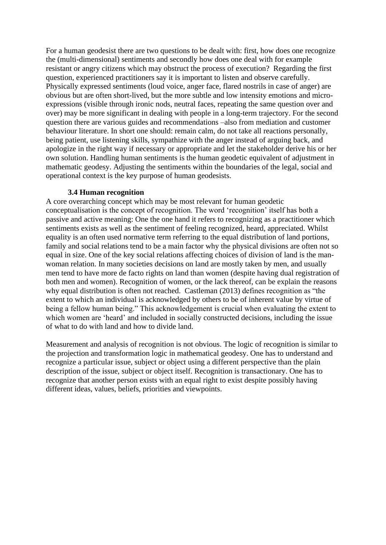For a human geodesist there are two questions to be dealt with: first, how does one recognize the (multi-dimensional) sentiments and secondly how does one deal with for example resistant or angry citizens which may obstruct the process of execution? Regarding the first question, experienced practitioners say it is important to listen and observe carefully. Physically expressed sentiments (loud voice, anger face, flared nostrils in case of anger) are obvious but are often short-lived, but the more subtle and low intensity emotions and microexpressions (visible through ironic nods, neutral faces, repeating the same question over and over) may be more significant in dealing with people in a long-term trajectory. For the second question there are various guides and recommendations –also from mediation and customer behaviour literature. In short one should: remain calm, do not take all reactions personally, being patient, use listening skills, sympathize with the anger instead of arguing back, and apologize in the right way if necessary or appropriate and let the stakeholder derive his or her own solution. Handling human sentiments is the human geodetic equivalent of adjustment in mathematic geodesy. Adjusting the sentiments within the boundaries of the legal, social and operational context is the key purpose of human geodesists.

#### **3.4 Human recognition**

A core overarching concept which may be most relevant for human geodetic conceptualisation is the concept of recognition. The word 'recognition' itself has both a passive and active meaning: One the one hand it refers to recognizing as a practitioner which sentiments exists as well as the sentiment of feeling recognized, heard, appreciated. Whilst equality is an often used normative term referring to the equal distribution of land portions, family and social relations tend to be a main factor why the physical divisions are often not so equal in size. One of the key social relations affecting choices of division of land is the manwoman relation. In many societies decisions on land are mostly taken by men, and usually men tend to have more de facto rights on land than women (despite having dual registration of both men and women). Recognition of women, or the lack thereof, can be explain the reasons why equal distribution is often not reached. Castleman (2013) defines recognition as "the extent to which an individual is acknowledged by others to be of inherent value by virtue of being a fellow human being." This acknowledgement is crucial when evaluating the extent to which women are 'heard' and included in socially constructed decisions, including the issue of what to do with land and how to divide land.

Measurement and analysis of recognition is not obvious. The logic of recognition is similar to the projection and transformation logic in mathematical geodesy. One has to understand and recognize a particular issue, subject or object using a different perspective than the plain description of the issue, subject or object itself. Recognition is transactionary. One has to recognize that another person exists with an equal right to exist despite possibly having different ideas, values, beliefs, priorities and viewpoints.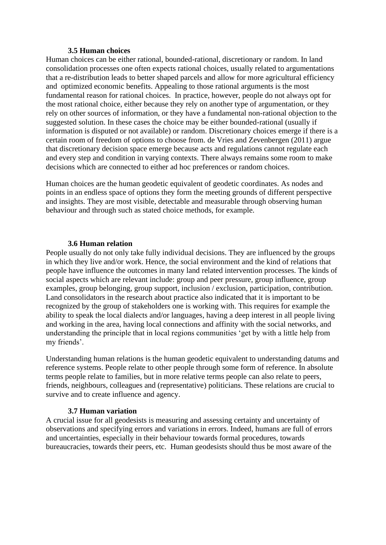#### **3.5 Human choices**

Human choices can be either rational, bounded-rational, discretionary or random. In land consolidation processes one often expects rational choices, usually related to argumentations that a re-distribution leads to better shaped parcels and allow for more agricultural efficiency and optimized economic benefits. Appealing to those rational arguments is the most fundamental reason for rational choices. In practice, however, people do not always opt for the most rational choice, either because they rely on another type of argumentation, or they rely on other sources of information, or they have a fundamental non-rational objection to the suggested solution. In these cases the choice may be either bounded-rational (usually if information is disputed or not available) or random. Discretionary choices emerge if there is a certain room of freedom of options to choose from. de Vries and Zevenbergen (2011) argue that discretionary decision space emerge because acts and regulations cannot regulate each and every step and condition in varying contexts. There always remains some room to make decisions which are connected to either ad hoc preferences or random choices.

Human choices are the human geodetic equivalent of geodetic coordinates. As nodes and points in an endless space of options they form the meeting grounds of different perspective and insights. They are most visible, detectable and measurable through observing human behaviour and through such as stated choice methods, for example.

# **3.6 Human relation**

People usually do not only take fully individual decisions. They are influenced by the groups in which they live and/or work. Hence, the social environment and the kind of relations that people have influence the outcomes in many land related intervention processes. The kinds of social aspects which are relevant include: group and peer pressure, group influence, group examples, group belonging, group support, inclusion / exclusion, participation, contribution. Land consolidators in the research about practice also indicated that it is important to be recognized by the group of stakeholders one is working with. This requires for example the ability to speak the local dialects and/or languages, having a deep interest in all people living and working in the area, having local connections and affinity with the social networks, and understanding the principle that in local regions communities 'get by with a little help from my friends'.

Understanding human relations is the human geodetic equivalent to understanding datums and reference systems. People relate to other people through some form of reference. In absolute terms people relate to families, but in more relative terms people can also relate to peers, friends, neighbours, colleagues and (representative) politicians. These relations are crucial to survive and to create influence and agency.

# **3.7 Human variation**

A crucial issue for all geodesists is measuring and assessing certainty and uncertainty of observations and specifying errors and variations in errors. Indeed, humans are full of errors and uncertainties, especially in their behaviour towards formal procedures, towards bureaucracies, towards their peers, etc. Human geodesists should thus be most aware of the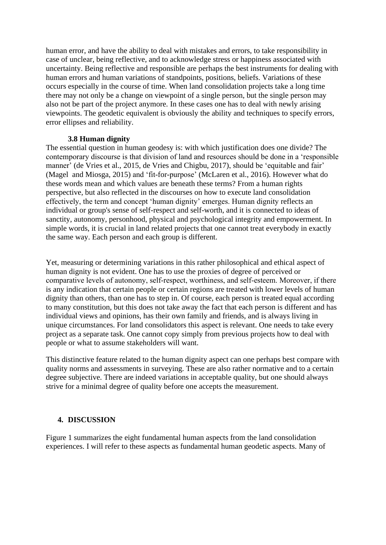human error, and have the ability to deal with mistakes and errors, to take responsibility in case of unclear, being reflective, and to acknowledge stress or happiness associated with uncertainty. Being reflective and responsible are perhaps the best instruments for dealing with human errors and human variations of standpoints, positions, beliefs. Variations of these occurs especially in the course of time. When land consolidation projects take a long time there may not only be a change on viewpoint of a single person, but the single person may also not be part of the project anymore. In these cases one has to deal with newly arising viewpoints. The geodetic equivalent is obviously the ability and techniques to specify errors, error ellipses and reliability.

# **3.8 Human dignity**

The essential question in human geodesy is: with which justification does one divide? The contemporary discourse is that division of land and resources should be done in a 'responsible manner' (de Vries et al., 2015, de Vries and Chigbu, 2017), should be 'equitable and fair' (Magel and Miosga, 2015) and 'fit-for-purpose' (McLaren et al., 2016). However what do these words mean and which values are beneath these terms? From a human rights perspective, but also reflected in the discourses on how to execute land consolidation effectively, the term and concept 'human dignity' emerges. Human dignity reflects an individual or group's sense of self-respect and self-worth, and it is connected to ideas of sanctity, autonomy, personhood, physical and psychological integrity and empowerment. In simple words, it is crucial in land related projects that one cannot treat everybody in exactly the same way. Each person and each group is different.

Yet, measuring or determining variations in this rather philosophical and ethical aspect of human dignity is not evident. One has to use the proxies of degree of perceived or comparative levels of autonomy, self-respect, worthiness, and self-esteem. Moreover, if there is any indication that certain people or certain regions are treated with lower levels of human dignity than others, than one has to step in. Of course, each person is treated equal according to many constitution, but this does not take away the fact that each person is different and has individual views and opinions, has their own family and friends, and is always living in unique circumstances. For land consolidators this aspect is relevant. One needs to take every project as a separate task. One cannot copy simply from previous projects how to deal with people or what to assume stakeholders will want.

This distinctive feature related to the human dignity aspect can one perhaps best compare with quality norms and assessments in surveying. These are also rather normative and to a certain degree subjective. There are indeed variations in acceptable quality, but one should always strive for a minimal degree of quality before one accepts the measurement.

# **4. DISCUSSION**

Figure 1 summarizes the eight fundamental human aspects from the land consolidation experiences. I will refer to these aspects as fundamental human geodetic aspects. Many of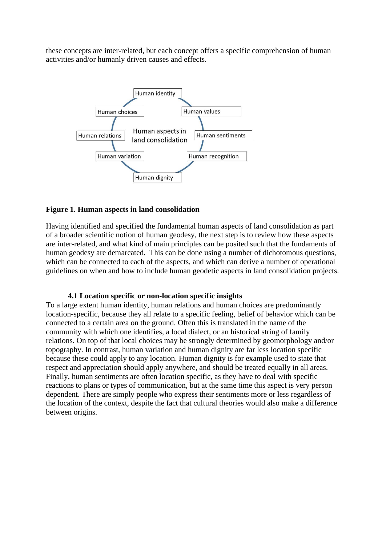these concepts are inter-related, but each concept offers a specific comprehension of human activities and/or humanly driven causes and effects.



# **Figure 1. Human aspects in land consolidation**

Having identified and specified the fundamental human aspects of land consolidation as part of a broader scientific notion of human geodesy, the next step is to review how these aspects are inter-related, and what kind of main principles can be posited such that the fundaments of human geodesy are demarcated. This can be done using a number of dichotomous questions, which can be connected to each of the aspects, and which can derive a number of operational guidelines on when and how to include human geodetic aspects in land consolidation projects.

# **4.1 Location specific or non-location specific insights**

To a large extent human identity, human relations and human choices are predominantly location-specific, because they all relate to a specific feeling, belief of behavior which can be connected to a certain area on the ground. Often this is translated in the name of the community with which one identifies, a local dialect, or an historical string of family relations. On top of that local choices may be strongly determined by geomorphology and/or topography. In contrast, human variation and human dignity are far less location specific because these could apply to any location. Human dignity is for example used to state that respect and appreciation should apply anywhere, and should be treated equally in all areas. Finally, human sentiments are often location specific, as they have to deal with specific reactions to plans or types of communication, but at the same time this aspect is very person dependent. There are simply people who express their sentiments more or less regardless of the location of the context, despite the fact that cultural theories would also make a difference between origins.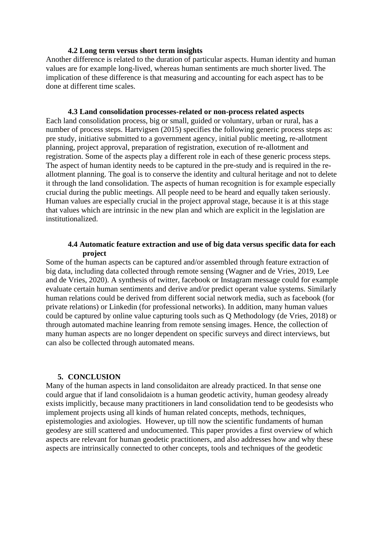#### **4.2 Long term versus short term insights**

Another difference is related to the duration of particular aspects. Human identity and human values are for example long-lived, whereas human sentiments are much shorter lived. The implication of these difference is that measuring and accounting for each aspect has to be done at different time scales.

**4.3 Land consolidation processes-related or non-process related aspects** Each land consolidation process, big or small, guided or voluntary, urban or rural, has a number of process steps. Hartvigsen (2015) specifies the following generic process steps as: pre study, initiative submitted to a government agency, initial public meeting, re-allotment planning, project approval, preparation of registration, execution of re-allotment and registration. Some of the aspects play a different role in each of these generic process steps. The aspect of human identity needs to be captured in the pre-study and is required in the reallotment planning. The goal is to conserve the identity and cultural heritage and not to delete it through the land consolidation. The aspects of human recognition is for example especially crucial during the public meetings. All people need to be heard and equally taken seriously. Human values are especially crucial in the project approval stage, because it is at this stage that values which are intrinsic in the new plan and which are explicit in the legislation are institutionalized.

# **4.4 Automatic feature extraction and use of big data versus specific data for each project**

Some of the human aspects can be captured and/or assembled through feature extraction of big data, including data collected through remote sensing (Wagner and de Vries, 2019, Lee and de Vries, 2020). A synthesis of twitter, facebook or Instagram message could for example evaluate certain human sentiments and derive and/or predict operant value systems. Similarly human relations could be derived from different social network media, such as facebook (for private relations) or Linkedin (for professional networks). In addition, many human values could be captured by online value capturing tools such as Q Methodology (de Vries, 2018) or through automated machine leanring from remote sensing images. Hence, the collection of many human aspects are no longer dependent on specific surveys and direct interviews, but can also be collected through automated means.

#### **5. CONCLUSION**

Many of the human aspects in land consolidaiton are already practiced. In that sense one could argue that if land consolidaiotn is a human geodetic activity, human geodesy already exists implicitly, because many practitioners in land consolidation tend to be geodesists who implement projects using all kinds of human related concepts, methods, techniques, epistemologies and axiologies. However, up till now the scientific fundaments of human geodesy are still scattered and undocumented. This paper provides a first overview of which aspects are relevant for human geodetic practitioners, and also addresses how and why these aspects are intrinsically connected to other concepts, tools and techniques of the geodetic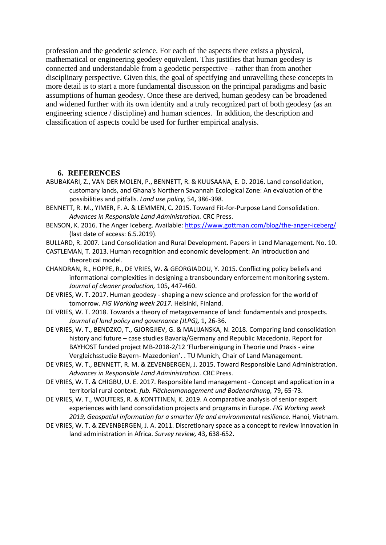profession and the geodetic science. For each of the aspects there exists a physical, mathematical or engineering geodesy equivalent. This justifies that human geodesy is connected and understandable from a geodetic perspective – rather than from another disciplinary perspective. Given this, the goal of specifying and unravelling these concepts in more detail is to start a more fundamental discussion on the principal paradigms and basic assumptions of human geodesy. Once these are derived, human geodesy can be broadened and widened further with its own identity and a truly recognized part of both geodesy (as an engineering science / discipline) and human sciences. In addition, the description and classification of aspects could be used for further empirical analysis.

#### **6. REFERENCES**

- ABUBAKARI, Z., VAN DER MOLEN, P., BENNETT, R. & KUUSAANA, E. D. 2016. Land consolidation, customary lands, and Ghana's Northern Savannah Ecological Zone: An evaluation of the possibilities and pitfalls. *Land use policy,* 54**,** 386-398.
- BENNETT, R. M., YIMER, F. A. & LEMMEN, C. 2015. Toward Fit-for-Purpose Land Consolidation. *Advances in Responsible Land Administration.* CRC Press.
- BENSON, K. 2016. The Anger Iceberg. Available:<https://www.gottman.com/blog/the-anger-iceberg/> (last date of access: 6.5.2019).
- BULLARD, R. 2007. Land Consolidation and Rural Development. Papers in Land Management. No. 10.
- CASTLEMAN, T. 2013. Human recognition and economic development: An introduction and theoretical model.
- CHANDRAN, R., HOPPE, R., DE VRIES, W. & GEORGIADOU, Y. 2015. Conflicting policy beliefs and informational complexities in designing a transboundary enforcement monitoring system. *Journal of cleaner production,* 105**,** 447-460.
- DE VRIES, W. T. 2017. Human geodesy shaping a new science and profession for the world of tomorrow. *FIG Working week 2017.* Helsinki, Finland.
- DE VRIES, W. T. 2018. Towards a theory of metagovernance of land: fundamentals and prospects. *Journal of land policy and governance (JLPG),* 1**,** 26-36.
- DE VRIES, W. T., BENDZKO, T., GJORGJIEV, G. & MALIJANSKA, N. 2018. Comparing land consolidation history and future – case studies Bavaria/Germany and Republic Macedonia. Report for BAYHOST funded project MB-2018-2/12 'Flurbereinigung in Theorie und Praxis - eine Vergleichsstudie Bayern- Mazedonien'. . TU Munich, Chair of Land Management.
- DE VRIES, W. T., BENNETT, R. M. & ZEVENBERGEN, J. 2015. Toward Responsible Land Administration. *Advances in Responsible Land Administration.* CRC Press.
- DE VRIES, W. T. & CHIGBU, U. E. 2017. Responsible land management Concept and application in a territorial rural context. *fub. Flächenmanagement und Bodenordnung,* 79**,** 65-73.
- DE VRIES, W. T., WOUTERS, R. & KONTTINEN, K. 2019. A comparative analysis of senior expert experiences with land consolidation projects and programs in Europe. *FIG Working week 2019, Geospatial information for a smarter life and environmental resilience.* Hanoi, Vietnam.
- DE VRIES, W. T. & ZEVENBERGEN, J. A. 2011. Discretionary space as a concept to review innovation in land administration in Africa. *Survey review,* 43**,** 638-652.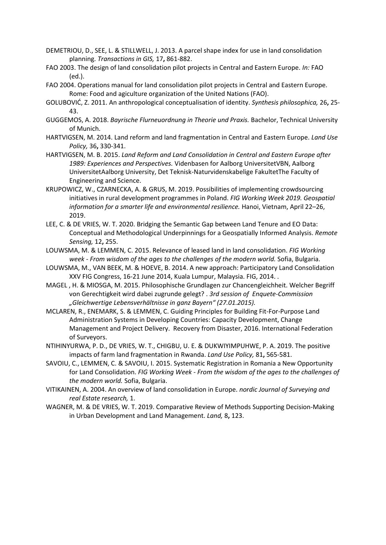- DEMETRIOU, D., SEE, L. & STILLWELL, J. 2013. A parcel shape index for use in land consolidation planning. *Transactions in GIS,* 17**,** 861-882.
- FAO 2003. The design of land consolidation pilot projects in Central and Eastern Europe. *In:* FAO (ed.).
- FAO 2004. Operations manual for land consolidation pilot projects in Central and Eastern Europe. Rome: Food and agiculture organization of the United Nations (FAO).
- GOLUBOVIĆ, Z. 2011. An anthropological conceptualisation of identity. *Synthesis philosophica,* 26**,** 25- 43.
- GUGGEMOS, A. 2018. *Bayrische Flurneuordnung in Theorie und Praxis.* Bachelor, Technical University of Munich.
- HARTVIGSEN, M. 2014. Land reform and land fragmentation in Central and Eastern Europe. *Land Use Policy,* 36**,** 330-341.
- HARTVIGSEN, M. B. 2015. *Land Reform and Land Consolidation in Central and Eastern Europe after 1989: Experiences and Perspectives.* Videnbasen for Aalborg UniversitetVBN, Aalborg UniversitetAalborg University, Det Teknisk-Naturvidenskabelige FakultetThe Faculty of Engineering and Science.
- KRUPOWICZ, W., CZARNECKA, A. & GRUS, M. 2019. Possibilities of implementing crowdsourcing initiatives in rural development programmes in Poland. *FIG Working Week 2019. Geospatial information for a smarter life and environmental resilience.* Hanoi, Vietnam, April 22–26, 2019.
- LEE, C. & DE VRIES, W. T. 2020. Bridging the Semantic Gap between Land Tenure and EO Data: Conceptual and Methodological Underpinnings for a Geospatially Informed Analysis. *Remote Sensing,* 12**,** 255.
- LOUWSMA, M. & LEMMEN, C. 2015. Relevance of leased land in land consolidation. *FIG Working week - From wisdom of the ages to the challenges of the modern world.* Sofia, Bulgaria.
- LOUWSMA, M., VAN BEEK, M. & HOEVE, B. 2014. A new approach: Participatory Land Consolidation XXV FIG Congress, 16-21 June 2014, Kuala Lumpur, Malaysia. FIG, 2014. .
- MAGEL , H. & MIOSGA, M. 2015. Philosophische Grundlagen zur Chancengleichheit. Welcher Begriff von Gerechtigkeit wird dabei zugrunde gelegt? . *3rd session of Enquete-Commission "Gleichwertige Lebensverhältnisse in ganz Bayern" (27.01.2015).*
- MCLAREN, R., ENEMARK, S. & LEMMEN, C. Guiding Principles for Building Fit-For-Purpose Land Administration Systems in Developing Countries: Capacity Development, Change Management and Project Delivery. Recovery from Disaster, 2016. International Federation of Surveyors.
- NTIHINYURWA, P. D., DE VRIES, W. T., CHIGBU, U. E. & DUKWIYIMPUHWE, P. A. 2019. The positive impacts of farm land fragmentation in Rwanda. *Land Use Policy,* 81**,** 565-581.
- SAVOIU, C., LEMMEN, C. & SAVOIU, I. 2015. Systematic Registration in Romania a New Opportunity for Land Consolidation. *FIG Working Week - From the wisdom of the ages to the challenges of the modern world.* Sofia, Bulgaria.
- VITIKAINEN, A. 2004. An overview of land consolidation in Europe. *nordic Journal of Surveying and real Estate research,* 1.
- WAGNER, M. & DE VRIES, W. T. 2019. Comparative Review of Methods Supporting Decision-Making in Urban Development and Land Management. *Land,* 8**,** 123.